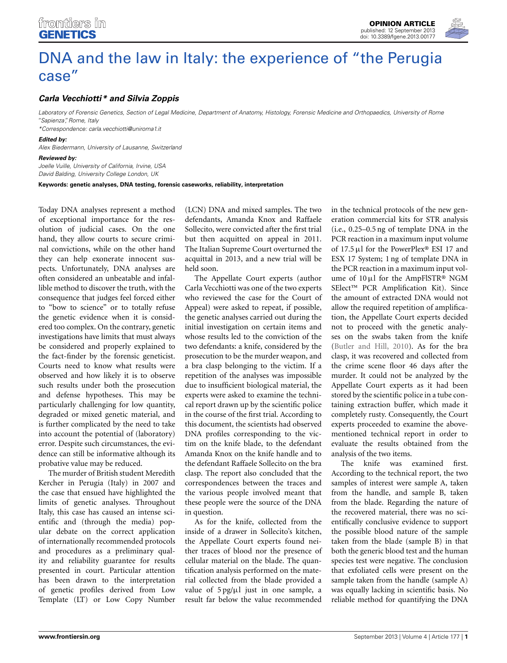# [DNA and the law in Italy: the experience of "the Perugia](http://www.frontiersin.org/Statistical_Genetics_and_Methodology/10.3389/fgene.2013.00177/full) case"

## *[Carla Vecchiotti](http://www.frontiersin.org/Community/WhosWhoActivity.aspx?sname=CarlaVecchiotti&UID=79808)\* and [Silvia Zoppis](http://community.frontiersin.org/people/SilviaZoppis/110126)*

*Laboratory of Forensic Genetics, Section of Legal Medicine, Department of Anatomy, Histology, Forensic Medicine and Orthopaedics, University of Rome "Sapienza", Rome, Italy*

*\*Correspondence: carla.vecchiotti@uniroma1.it*

#### *Edited by:*

*Alex Biedermann, University of Lausanne, Switzerland*

#### *Reviewed by:*

*Joelle Vuille, University of California, Irvine, USA David Balding, University College London, UK*

**Keywords: genetic analyses, DNA testing, forensic caseworks, reliability, interpretation**

Today DNA analyses represent a method of exceptional importance for the resolution of judicial cases. On the one hand, they allow courts to secure criminal convictions, while on the other hand they can help exonerate innocent suspects. Unfortunately, DNA analyses are often considered an unbeatable and infallible method to discover the truth, with the consequence that judges feel forced either to "bow to science" or to totally refuse the genetic evidence when it is considered too complex. On the contrary, genetic investigations have limits that must always be considered and properly explained to the fact-finder by the forensic geneticist. Courts need to know what results were observed and how likely it is to observe such results under both the prosecution and defense hypotheses. This may be particularly challenging for low quantity, degraded or mixed genetic material, and is further complicated by the need to take into account the potential of (laboratory) error. Despite such circumstances, the evidence can still be informative although its probative value may be reduced.

The murder of British student Meredith Kercher in Perugia (Italy) in 2007 and the case that ensued have highlighted the limits of genetic analyses. Throughout Italy, this case has caused an intense scientific and (through the media) popular debate on the correct application of internationally recommended protocols and procedures as a preliminary quality and reliability guarantee for results presented in court. Particular attention has been drawn to the interpretation of genetic profiles derived from Low Template (LT) or Low Copy Number

(LCN) DNA and mixed samples. The two defendants, Amanda Knox and Raffaele Sollecito, were convicted after the first trial but then acquitted on appeal in 2011. The Italian Supreme Court overturned the acquittal in 2013, and a new trial will be held soon.

The Appellate Court experts (author Carla Vecchiotti was one of the two experts who reviewed the case for the Court of Appeal) were asked to repeat, if possible, the genetic analyses carried out during the initial investigation on certain items and whose results led to the conviction of the two defendants: a knife, considered by the prosecution to be the murder weapon, and a bra clasp belonging to the victim. If a repetition of the analyses was impossible due to insufficient biological material, the experts were asked to examine the technical report drawn up by the scientific police in the course of the first trial. According to this document, the scientists had observed DNA profiles corresponding to the victim on the knife blade, to the defendant Amanda Knox on the knife handle and to the defendant Raffaele Sollecito on the bra clasp. The report also concluded that the correspondences between the traces and the various people involved meant that these people were the source of the DNA in question.

As for the knife, collected from the inside of a drawer in Sollecito's kitchen, the Appellate Court experts found neither traces of blood nor the presence of cellular material on the blade. The quantification analysis performed on the material collected from the blade provided a value of 5 pg/μl just in one sample, a result far below the value recommended

in the technical protocols of the new generation commercial kits for STR analysis (i.e., 0.25–0.5 ng of template DNA in the PCR reaction in a maximum input volume of 17.5μl for the PowerPlex® ESI 17 and ESX 17 System; 1 ng of template DNA in the PCR reaction in a maximum input volume of 10μl for the AmpFlSTR® NGM SElect™ PCR Amplification Kit). Since the amount of extracted DNA would not allow the required repetition of amplification, the Appellate Court experts decided not to proceed with the genetic analyses on the swabs taken from the knife [\(Butler and Hill](#page-2-0), [2010\)](#page-2-0). As for the bra clasp, it was recovered and collected from the crime scene floor 46 days after the murder. It could not be analyzed by the Appellate Court experts as it had been stored by the scientific police in a tube containing extraction buffer, which made it completely rusty. Consequently, the Court experts proceeded to examine the abovementioned technical report in order to evaluate the results obtained from the analysis of the two items.

The knife was examined first. According to the technical report, the two samples of interest were sample A, taken from the handle, and sample B, taken from the blade. Regarding the nature of the recovered material, there was no scientifically conclusive evidence to support the possible blood nature of the sample taken from the blade (sample B) in that both the generic blood test and the human species test were negative. The conclusion that exfoliated cells were present on the sample taken from the handle (sample A) was equally lacking in scientific basis. No reliable method for quantifying the DNA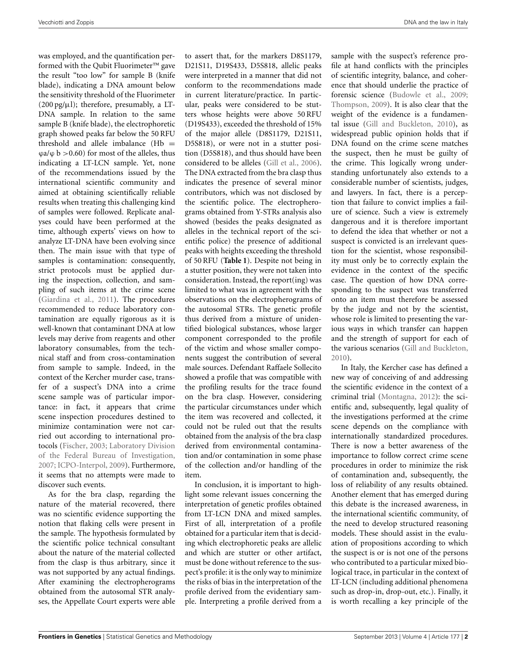was employed, and the quantification performed with the Qubit Fluorimeter™ gave the result "too low" for sample B (knife blade), indicating a DNA amount below the sensitivity threshold of the Fluorimeter  $(200 \text{ pg/µl})$ ; therefore, presumably, a LT-DNA sample. In relation to the same sample B (knife blade), the electrophoretic graph showed peaks far below the 50 RFU threshold and allele imbalance  $(Hb =$  $\varphi$ a/ $\varphi$  b > 0.60) for most of the alleles, thus indicating a LT-LCN sample. Yet, none of the recommendations issued by the international scientific community and aimed at obtaining scientifically reliable results when treating this challenging kind of samples were followed. Replicate analyses could have been performed at the time, although experts' views on how to analyze LT-DNA have been evolving since then. The main issue with that type of samples is contamination: consequently, strict protocols must be applied during the inspection, collection, and sampling of such items at the crime scene [\(Giardina et al., 2011](#page-2-1)). The procedures recommended to reduce laboratory contamination are equally rigorous as it is well-known that contaminant DNA at low levels may derive from reagents and other laboratory consumables, from the technical staff and from cross-contamination from sample to sample. Indeed, in the context of the Kercher murder case, transfer of a suspect's DNA into a crime scene sample was of particular importance: in fact, it appears that crime scene inspection procedures destined to minimize contamination were not carried out according to international protocols [\(Fischer, 2003;](#page-2-2) [Laboratory](#page-2-3) [Division](#page-2-3) of the Federal Bureau of Investigation, [2007](#page-2-3); [ICPO-Interpol](#page-2-4), [2009\)](#page-2-4). Furthermore, it seems that no attempts were made to discover such events.

As for the bra clasp, regarding the nature of the material recovered, there was no scientific evidence supporting the notion that flaking cells were present in the sample. The hypothesis formulated by the scientific police technical consultant about the nature of the material collected from the clasp is thus arbitrary, since it was not supported by any actual findings. After examining the electropherograms obtained from the autosomal STR analyses, the Appellate Court experts were able to assert that, for the markers D8S1179, D21S11, D19S433, D5S818, allelic peaks were interpreted in a manner that did not conform to the recommendations made in current literature/practice. In particular, peaks were considered to be stutters whose heights were above 50 RFU (D19S433), exceeded the threshold of 15% of the major allele (D8S1179, D21S11, D5S818), or were not in a stutter position (D5S818), and thus should have been considered to be alleles [\(Gill et al., 2006\)](#page-2-5). The DNA extracted from the bra clasp thus indicates the presence of several minor contributors, which was not disclosed by the scientific police. The electropherograms obtained from Y-STRs analysis also showed (besides the peaks designated as alleles in the technical report of the scientific police) the presence of additional peaks with heights exceeding the threshold of 50 RFU (**[Table 1](#page-2-6)**). Despite not being in a stutter position, they were not taken into consideration. Instead, the report(ing) was limited to what was in agreement with the observations on the electropherograms of the autosomal STRs. The genetic profile thus derived from a mixture of unidentified biological substances, whose larger component corresponded to the profile of the victim and whose smaller components suggest the contribution of several male sources. Defendant Raffaele Sollecito showed a profile that was compatible with the profiling results for the trace found on the bra clasp. However, considering the particular circumstances under which the item was recovered and collected, it could not be ruled out that the results obtained from the analysis of the bra clasp derived from environmental contamination and/or contamination in some phase of the collection and/or handling of the item.

In conclusion, it is important to highlight some relevant issues concerning the interpretation of genetic profiles obtained from LT-LCN DNA and mixed samples. First of all, interpretation of a profile obtained for a particular item that is deciding which electrophoretic peaks are allelic and which are stutter or other artifact, must be done without reference to the suspect's profile: it is the only way to minimize the risks of bias in the interpretation of the profile derived from the evidentiary sample. Interpreting a profile derived from a

sample with the suspect's reference profile at hand conflicts with the principles of scientific integrity, balance, and coherence that should underlie the practice of forensic science [\(Budowle et al.](#page-2-7), [2009](#page-2-7); [Thompson](#page-2-8), [2009\)](#page-2-8). It is also clear that the weight of the evidence is a fundamental issue [\(Gill and Buckleton](#page-2-9), [2010\)](#page-2-9), as widespread public opinion holds that if DNA found on the crime scene matches the suspect, then he must be guilty of the crime. This logically wrong understanding unfortunately also extends to a considerable number of scientists, judges, and lawyers. In fact, there is a perception that failure to convict implies a failure of science. Such a view is extremely dangerous and it is therefore important to defend the idea that whether or not a suspect is convicted is an irrelevant question for the scientist, whose responsibility must only be to correctly explain the evidence in the context of the specific case. The question of how DNA corresponding to the suspect was transferred onto an item must therefore be assessed by the judge and not by the scientist, whose role is limited to presenting the various ways in which transfer can happen and the strength of support for each of the various scenarios [\(Gill and Buckleton](#page-2-9), [2010](#page-2-9)).

In Italy, the Kercher case has defined a new way of conceiving of and addressing the scientific evidence in the context of a criminal trial [\(Montagna, 2012](#page-2-10)): the scientific and, subsequently, legal quality of the investigations performed at the crime scene depends on the compliance with internationally standardized procedures. There is now a better awareness of the importance to follow correct crime scene procedures in order to minimize the risk of contamination and, subsequently, the loss of reliability of any results obtained. Another element that has emerged during this debate is the increased awareness, in the international scientific community, of the need to develop structured reasoning models. These should assist in the evaluation of propositions according to which the suspect is or is not one of the persons who contributed to a particular mixed biological trace, in particular in the context of LT-LCN (including additional phenomena such as drop-in, drop-out, etc.). Finally, it is worth recalling a key principle of the